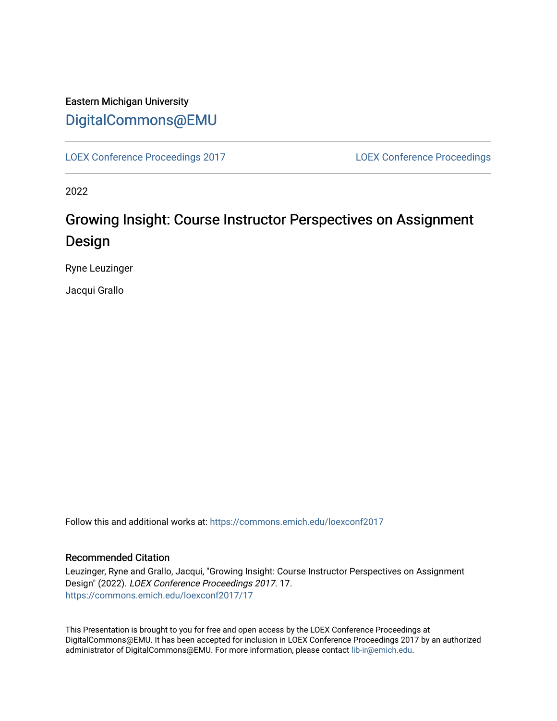## Eastern Michigan University [DigitalCommons@EMU](https://commons.emich.edu/)

[LOEX Conference Proceedings 2017](https://commons.emich.edu/loexconf2017) [LOEX Conference Proceedings](https://commons.emich.edu/loexconf) 

2022

# Growing Insight: Course Instructor Perspectives on Assignment Design

Ryne Leuzinger

Jacqui Grallo

Follow this and additional works at: [https://commons.emich.edu/loexconf2017](https://commons.emich.edu/loexconf2017?utm_source=commons.emich.edu%2Floexconf2017%2F17&utm_medium=PDF&utm_campaign=PDFCoverPages) 

#### Recommended Citation

Leuzinger, Ryne and Grallo, Jacqui, "Growing Insight: Course Instructor Perspectives on Assignment Design" (2022). LOEX Conference Proceedings 2017. 17. [https://commons.emich.edu/loexconf2017/17](https://commons.emich.edu/loexconf2017/17?utm_source=commons.emich.edu%2Floexconf2017%2F17&utm_medium=PDF&utm_campaign=PDFCoverPages)

This Presentation is brought to you for free and open access by the LOEX Conference Proceedings at DigitalCommons@EMU. It has been accepted for inclusion in LOEX Conference Proceedings 2017 by an authorized administrator of DigitalCommons@EMU. For more information, please contact [lib-ir@emich.edu](mailto:lib-ir@emich.edu).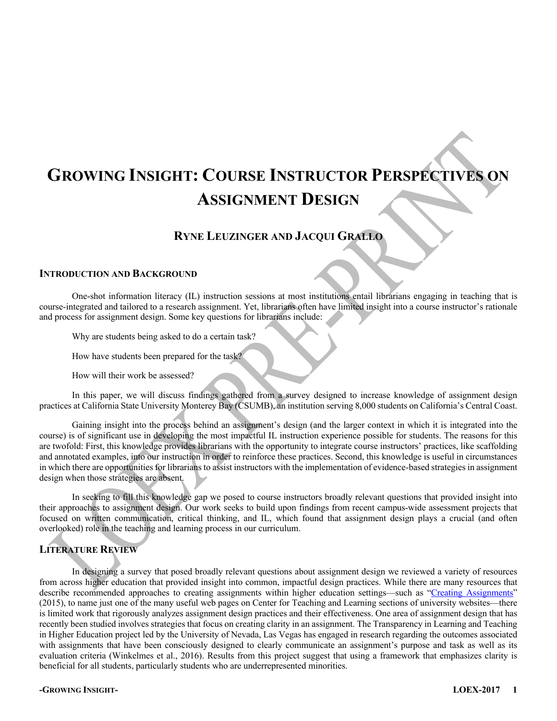# **GROWING INSIGHT: COURSE INSTRUCTOR PERSPECTIVES ON ASSIGNMENT DESIGN**

### **RYNE LEUZINGER AND JACQUI GRALLO**

#### **INTRODUCTION AND BACKGROUND**

One-shot information literacy (IL) instruction sessions at most institutions entail librarians engaging in teaching that is course-integrated and tailored to a research assignment. Yet, librarians often have limited insight into a course instructor's rationale and process for assignment design. Some key questions for librarians include:

Why are students being asked to do a certain task?

How have students been prepared for the task?

How will their work be assessed?

In this paper, we will discuss findings gathered from a survey designed to increase knowledge of assignment design practices at California State University Monterey Bay (CSUMB), an institution serving 8,000 students on California's Central Coast.

Gaining insight into the process behind an assignment's design (and the larger context in which it is integrated into the course) is of significant use in developing the most impactful IL instruction experience possible for students. The reasons for this are twofold: First, this knowledge provides librarians with the opportunity to integrate course instructors' practices, like scaffolding and annotated examples, into our instruction in order to reinforce these practices. Second, this knowledge is useful in circumstances in which there are opportunities for librarians to assist instructors with the implementation of evidence-based strategies in assignment design when those strategies are absent.

In seeking to fill this knowledge gap we posed to course instructors broadly relevant questions that provided insight into their approaches to assignment design. Our work seeks to build upon findings from recent campus-wide assessment projects that focused on written communication, critical thinking, and IL, which found that assignment design plays a crucial (and often overlooked) role in the teaching and learning process in our curriculum.

### **LITERATURE REVIEW**

In designing a survey that posed broadly relevant questions about assignment design we reviewed a variety of resources from across higher education that provided insight into common, impactful design practices. While there are many resources that describe recommended approaches to creating assignments within higher education settings—such as "Creating Assignments" (2015), to name just one of the many useful web pages on Center for Teaching and Learning sections of university websites—there is limited work that rigorously analyzes assignment design practices and their effectiveness. One area of assignment design that has recently been studied involves strategies that focus on creating clarity in an assignment. The Transparency in Learning and Teaching in Higher Education project led by the University of Nevada, Las Vegas has engaged in research regarding the outcomes associated with assignments that have been consciously designed to clearly communicate an assignment's purpose and task as well as its evaluation criteria (Winkelmes et al., 2016). Results from this project suggest that using a framework that emphasizes clarity is beneficial for all students, particularly students who are underrepresented minorities.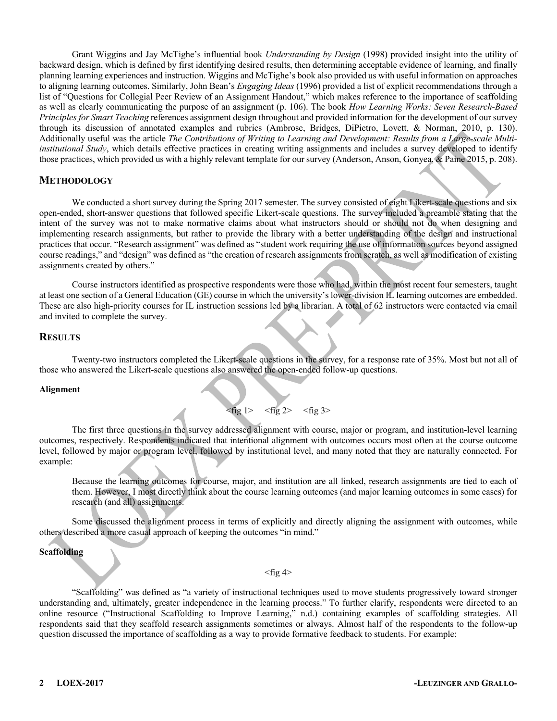Grant Wiggins and Jay McTighe's influential book *Understanding by Design* (1998) provided insight into the utility of backward design, which is defined by first identifying desired results, then determining acceptable evidence of learning, and finally planning learning experiences and instruction. Wiggins and McTighe's book also provided us with useful information on approaches to aligning learning outcomes. Similarly, John Bean's *Engaging Ideas* (1996) provided a list of explicit recommendations through a list of "Questions for Collegial Peer Review of an Assignment Handout," which makes reference to the importance of scaffolding as well as clearly communicating the purpose of an assignment (p. 106). The book *How Learning Works: Seven Research-Based Principles for Smart Teaching* references assignment design throughout and provided information for the development of our survey through its discussion of annotated examples and rubrics (Ambrose, Bridges, DiPietro, Lovett, & Norman, 2010, p. 130). Additionally useful was the article *The Contributions of Writing to Learning and Development: Results from a Large-scale Multiinstitutional Study*, which details effective practices in creating writing assignments and includes a survey developed to identify those practices, which provided us with a highly relevant template for our survey (Anderson, Anson, Gonyea, & Paine 2015, p. 208).

#### **METHODOLOGY**

We conducted a short survey during the Spring 2017 semester. The survey consisted of eight Likert-scale questions and six open-ended, short-answer questions that followed specific Likert-scale questions. The survey included a preamble stating that the intent of the survey was not to make normative claims about what instructors should or should not do when designing and implementing research assignments, but rather to provide the library with a better understanding of the design and instructional practices that occur. "Research assignment" was defined as "student work requiring the use of information sources beyond assigned course readings," and "design" was defined as "the creation of research assignments from scratch, as well as modification of existing assignments created by others."

Course instructors identified as prospective respondents were those who had, within the most recent four semesters, taught at least one section of a General Education (GE) course in which the university's lower-division IL learning outcomes are embedded. These are also high-priority courses for IL instruction sessions led by a librarian. A total of 62 instructors were contacted via email and invited to complete the survey.

#### **RESULTS**

Twenty-two instructors completed the Likert-scale questions in the survey, for a response rate of 35%. Most but not all of those who answered the Likert-scale questions also answered the open-ended follow-up questions.

#### **Alignment**

$$
\langle \text{fig 1>} \quad \langle \text{fig 2>} \quad \langle \text{fig 3>} \rangle
$$

The first three questions in the survey addressed alignment with course, major or program, and institution-level learning outcomes, respectively. Respondents indicated that intentional alignment with outcomes occurs most often at the course outcome level, followed by major or program level, followed by institutional level, and many noted that they are naturally connected. For example:

Because the learning outcomes for course, major, and institution are all linked, research assignments are tied to each of them. However, I most directly think about the course learning outcomes (and major learning outcomes in some cases) for research (and all) assignments.

Some discussed the alignment process in terms of explicitly and directly aligning the assignment with outcomes, while others described a more casual approach of keeping the outcomes "in mind."

#### **Scaffolding**

 $<$ fig 4 $>$ 

"Scaffolding" was defined as "a variety of instructional techniques used to move students progressively toward stronger understanding and, ultimately, greater independence in the learning process." To further clarify, respondents were directed to an online resource ("Instructional Scaffolding to Improve Learning," n.d.) containing examples of scaffolding strategies. All respondents said that they scaffold research assignments sometimes or always. Almost half of the respondents to the follow-up question discussed the importance of scaffolding as a way to provide formative feedback to students. For example: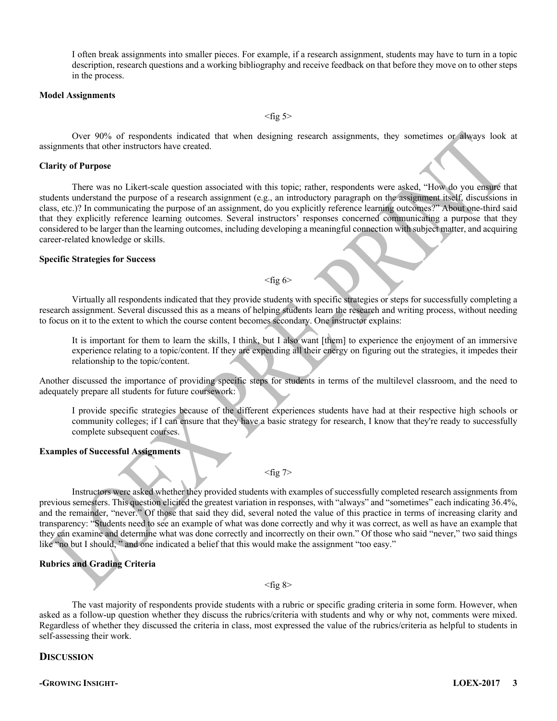I often break assignments into smaller pieces. For example, if a research assignment, students may have to turn in a topic description, research questions and a working bibliography and receive feedback on that before they move on to other steps in the process.

#### **Model Assignments**

 $<$ fig 5 $>$ 

Over 90% of respondents indicated that when designing research assignments, they sometimes or always look at assignments that other instructors have created.

#### **Clarity of Purpose**

There was no Likert-scale question associated with this topic; rather, respondents were asked, "How do you ensure that students understand the purpose of a research assignment (e.g., an introductory paragraph on the assignment itself, discussions in class, etc.)? In communicating the purpose of an assignment, do you explicitly reference learning outcomes?" About one-third said that they explicitly reference learning outcomes. Several instructors' responses concerned communicating a purpose that they considered to be larger than the learning outcomes, including developing a meaningful connection with subject matter, and acquiring career-related knowledge or skills.

#### **Specific Strategies for Success**

#### $<$ fig 6 $>$

Virtually all respondents indicated that they provide students with specific strategies or steps for successfully completing a research assignment. Several discussed this as a means of helping students learn the research and writing process, without needing to focus on it to the extent to which the course content becomes secondary. One instructor explains:

It is important for them to learn the skills, I think, but I also want [them] to experience the enjoyment of an immersive experience relating to a topic/content. If they are expending all their energy on figuring out the strategies, it impedes their relationship to the topic/content.

Another discussed the importance of providing specific steps for students in terms of the multilevel classroom, and the need to adequately prepare all students for future coursework:

I provide specific strategies because of the different experiences students have had at their respective high schools or community colleges; if I can ensure that they have a basic strategy for research, I know that they're ready to successfully complete subsequent courses.

#### **Examples of Successful Assignments**

#### $<$ fig 7>

Instructors were asked whether they provided students with examples of successfully completed research assignments from previous semesters. This question elicited the greatest variation in responses, with "always" and "sometimes" each indicating 36.4%, and the remainder, "never." Of those that said they did, several noted the value of this practice in terms of increasing clarity and transparency: "Students need to see an example of what was done correctly and why it was correct, as well as have an example that they can examine and determine what was done correctly and incorrectly on their own." Of those who said "never," two said things like "no but I should, " and one indicated a belief that this would make the assignment "too easy."

#### **Rubrics and Grading Criteria**

#### $<$ fig 8 $>$

The vast majority of respondents provide students with a rubric or specific grading criteria in some form. However, when asked as a follow-up question whether they discuss the rubrics/criteria with students and why or why not, comments were mixed. Regardless of whether they discussed the criteria in class, most expressed the value of the rubrics/criteria as helpful to students in self-assessing their work.

#### **DISCUSSION**

**-GROWING INSIGHT- LOEX-2017 3**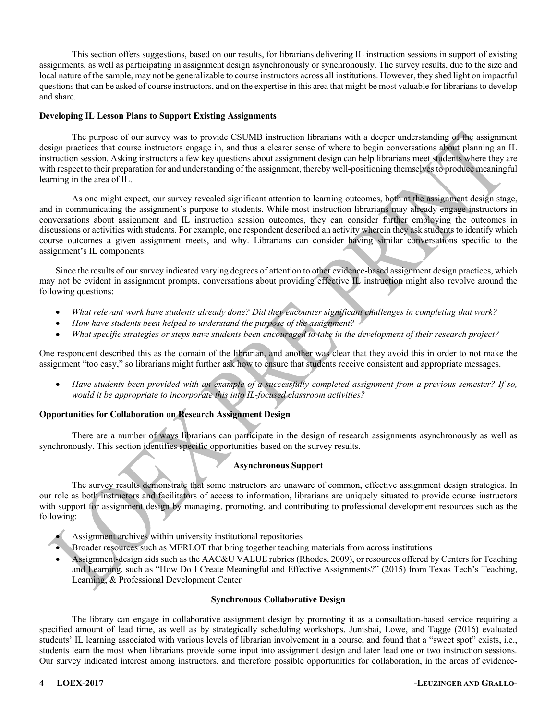This section offers suggestions, based on our results, for librarians delivering IL instruction sessions in support of existing assignments, as well as participating in assignment design asynchronously or synchronously. The survey results, due to the size and local nature of the sample, may not be generalizable to course instructors across all institutions. However, they shed light on impactful questions that can be asked of course instructors, and on the expertise in this area that might be most valuable for librarians to develop and share.

#### **Developing IL Lesson Plans to Support Existing Assignments**

The purpose of our survey was to provide CSUMB instruction librarians with a deeper understanding of the assignment design practices that course instructors engage in, and thus a clearer sense of where to begin conversations about planning an IL instruction session. Asking instructors a few key questions about assignment design can help librarians meet students where they are with respect to their preparation for and understanding of the assignment, thereby well-positioning themselves to produce meaningful learning in the area of IL.

As one might expect, our survey revealed significant attention to learning outcomes, both at the assignment design stage, and in communicating the assignment's purpose to students. While most instruction librarians may already engage instructors in conversations about assignment and IL instruction session outcomes, they can consider further employing the outcomes in discussions or activities with students. For example, one respondent described an activity wherein they ask students to identify which course outcomes a given assignment meets, and why. Librarians can consider having similar conversations specific to the assignment's IL components.

Since the results of our survey indicated varying degrees of attention to other evidence-based assignment design practices, which may not be evident in assignment prompts, conversations about providing effective IL instruction might also revolve around the following questions:

- *What relevant work have students already done? Did they encounter significant challenges in completing that work?*
- *How have students been helped to understand the purpose of the assignment?*
- *What specific strategies or steps have students been encouraged to take in the development of their research project?*

One respondent described this as the domain of the librarian, and another was clear that they avoid this in order to not make the assignment "too easy," so librarians might further ask how to ensure that students receive consistent and appropriate messages.

• *Have students been provided with an example of a successfully completed assignment from a previous semester? If so, would it be appropriate to incorporate this into IL-focused classroom activities?*

#### **Opportunities for Collaboration on Research Assignment Design**

There are a number of ways librarians can participate in the design of research assignments asynchronously as well as synchronously. This section identifies specific opportunities based on the survey results.

#### **Asynchronous Support**

The survey results demonstrate that some instructors are unaware of common, effective assignment design strategies. In our role as both instructors and facilitators of access to information, librarians are uniquely situated to provide course instructors with support for assignment design by managing, promoting, and contributing to professional development resources such as the following:

- Assignment archives within university institutional repositories
- Broader resources such as MERLOT that bring together teaching materials from across institutions
- Assignment-design aids such as the AAC&U VALUE rubrics (Rhodes, 2009), or resources offered by Centers for Teaching and Learning, such as "How Do I Create Meaningful and Effective Assignments?" (2015) from Texas Tech's Teaching, Learning, & Professional Development Center

#### **Synchronous Collaborative Design**

The library can engage in collaborative assignment design by promoting it as a consultation-based service requiring a specified amount of lead time, as well as by strategically scheduling workshops. Junisbai, Lowe, and Tagge (2016) evaluated students' IL learning associated with various levels of librarian involvement in a course, and found that a "sweet spot" exists, i.e., students learn the most when librarians provide some input into assignment design and later lead one or two instruction sessions. Our survey indicated interest among instructors, and therefore possible opportunities for collaboration, in the areas of evidence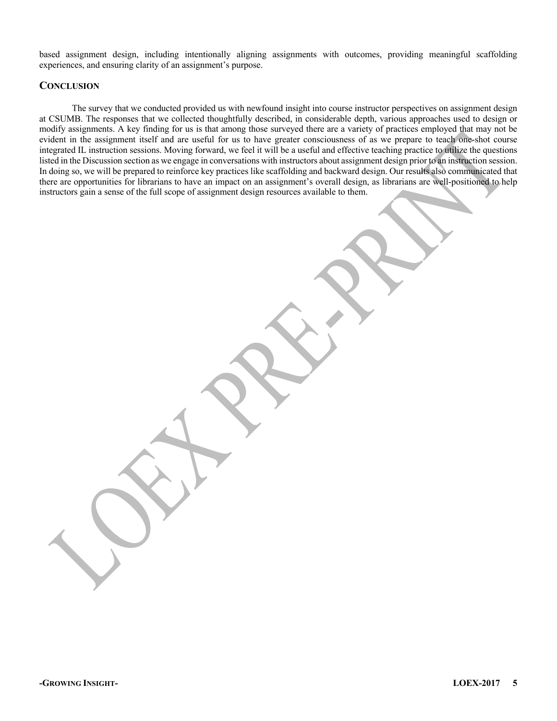based assignment design, including intentionally aligning assignments with outcomes, providing meaningful scaffolding experiences, and ensuring clarity of an assignment's purpose.

#### **CONCLUSION**

The survey that we conducted provided us with newfound insight into course instructor perspectives on assignment design at CSUMB. The responses that we collected thoughtfully described, in considerable depth, various approaches used to design or modify assignments. A key finding for us is that among those surveyed there are a variety of practices employed that may not be evident in the assignment itself and are useful for us to have greater consciousness of as we prepare to teach one-shot course integrated IL instruction sessions. Moving forward, we feel it will be a useful and effective teaching practice to utilize the questions listed in the Discussion section as we engage in conversations with instructors about assignment design prior to an instruction session. In doing so, we will be prepared to reinforce key practices like scaffolding and backward design. Our results also communicated that there are opportunities for librarians to have an impact on an assignment's overall design, as librarians are well-positioned to help instructors gain a sense of the full scope of assignment design resources available to them.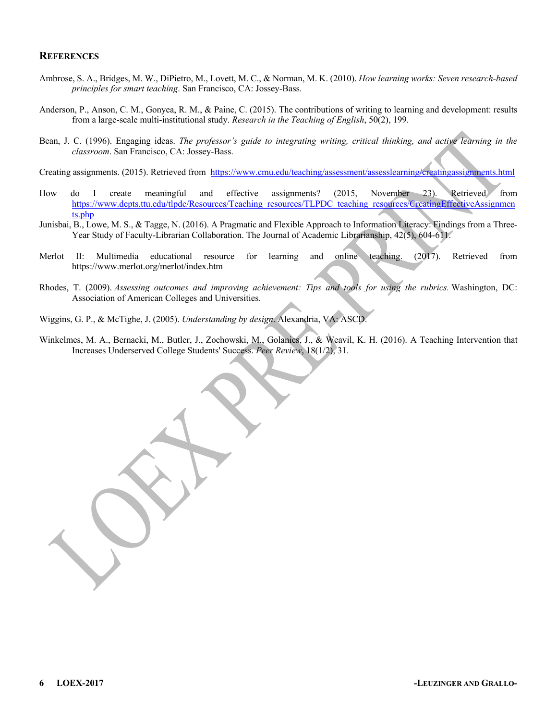#### **REFERENCES**

- Ambrose, S. A., Bridges, M. W., DiPietro, M., Lovett, M. C., & Norman, M. K. (2010). *How learning works: Seven research-based principles for smart teaching*. San Francisco, CA: Jossey-Bass.
- Anderson, P., Anson, C. M., Gonyea, R. M., & Paine, C. (2015). The contributions of writing to learning and development: results from a large-scale multi-institutional study. *Research in the Teaching of English*, 50(2), 199.
- Bean, J. C. (1996). Engaging ideas. *The professor's guide to integrating writing, critical thinking, and active learning in the classroom*. San Francisco, CA: Jossey-Bass.

Creating assignments. (2015). Retrieved from https://www.cmu.edu/teaching/assessment/assesslearning/creatingassignments.html

- How do I create meaningful and effective assignments? (2015, November 23). Retrieved from https://www.depts.ttu.edu/tlpdc/Resources/Teaching\_resources/TLPDC\_teaching\_resources/CreatingEffectiveAssignmen ts.php
- Junisbai, B., Lowe, M. S., & Tagge, N. (2016). A Pragmatic and Flexible Approach to Information Literacy: Findings from a Three-Year Study of Faculty-Librarian Collaboration. The Journal of Academic Librarianship, 42(5), 604-611.
- Merlot II: Multimedia educational resource for learning and online teaching. (2017). Retrieved from https://www.merlot.org/merlot/index.htm
- Rhodes, T. (2009). *Assessing outcomes and improving achievement: Tips and tools for using the rubrics.* Washington, DC: Association of American Colleges and Universities.

Wiggins, G. P., & McTighe, J. (2005). *Understanding by design*. Alexandria, VA: ASCD.

Winkelmes, M. A., Bernacki, M., Butler, J., Zochowski, M., Golanics, J., & Weavil, K. H. (2016). A Teaching Intervention that Increases Underserved College Students' Success. *Peer Review*, 18(1/2), 31.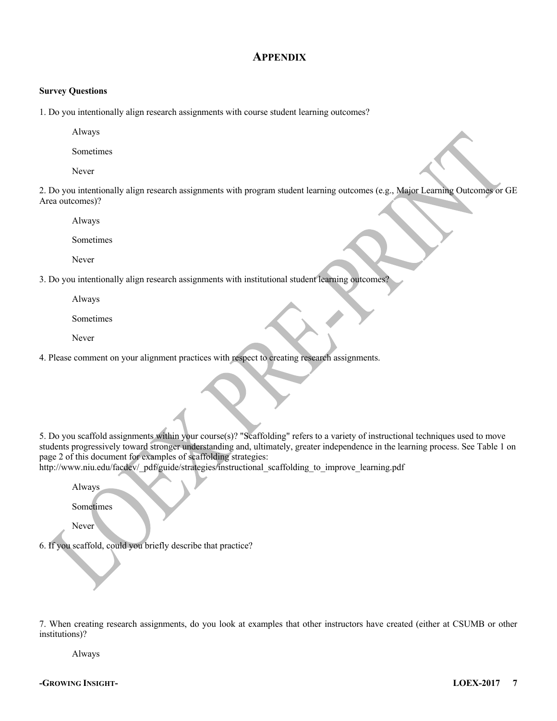### **APPENDIX**

#### **Survey Questions**

1. Do you intentionally align research assignments with course student learning outcomes?

Always

Sometimes

Never

2. Do you intentionally align research assignments with program student learning outcomes (e.g., Major Learning Outcomes or GE Area outcomes)?

Always

Sometimes

Never

3. Do you intentionally align research assignments with institutional student learning outcomes?

Always

Sometimes

Never

4. Please comment on your alignment practices with respect to creating research assignments.

5. Do you scaffold assignments within your course(s)? "Scaffolding" refers to a variety of instructional techniques used to move students progressively toward stronger understanding and, ultimately, greater independence in the learning process. See Table 1 on page 2 of this document for examples of scaffolding strategies:

http://www.niu.edu/facdev/\_pdf/guide/strategies/instructional\_scaffolding\_to\_improve\_learning.pdf

Always

Sometimes

Never

6. If you scaffold, could you briefly describe that practice?

7. When creating research assignments, do you look at examples that other instructors have created (either at CSUMB or other institutions)?

Always

**-GROWING INSIGHT- LOEX-2017 7**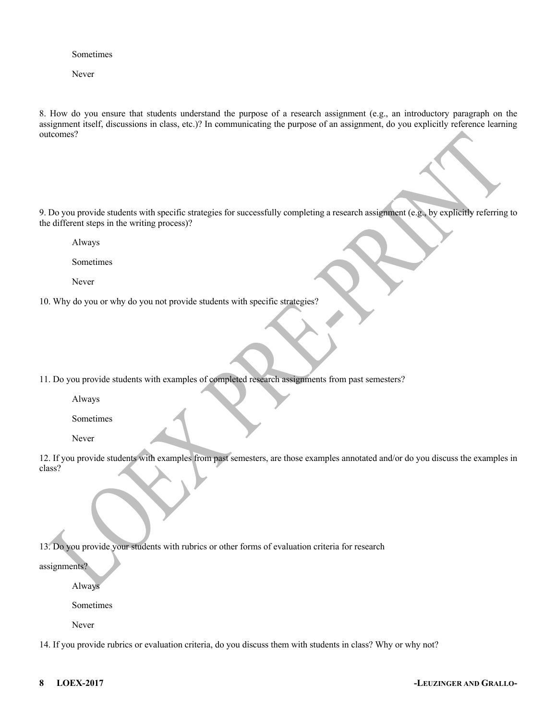Sometimes

Never

8. How do you ensure that students understand the purpose of a research assignment (e.g., an introductory paragraph on the assignment itself, discussions in class, etc.)? In communicating the purpose of an assignment, do you explicitly reference learning outcomes?

9. Do you provide students with specific strategies for successfully completing a research assignment (e.g., by explicitly referring to the different steps in the writing process)?

Always

Sometimes

Never

10. Why do you or why do you not provide students with specific strategies?

11. Do you provide students with examples of completed research assignments from past semesters?

Always

Sometimes

Never

12. If you provide students with examples from past semesters, are those examples annotated and/or do you discuss the examples in class?

13. Do you provide your students with rubrics or other forms of evaluation criteria for research

assignments?

Always

Sometimes

Never

14. If you provide rubrics or evaluation criteria, do you discuss them with students in class? Why or why not?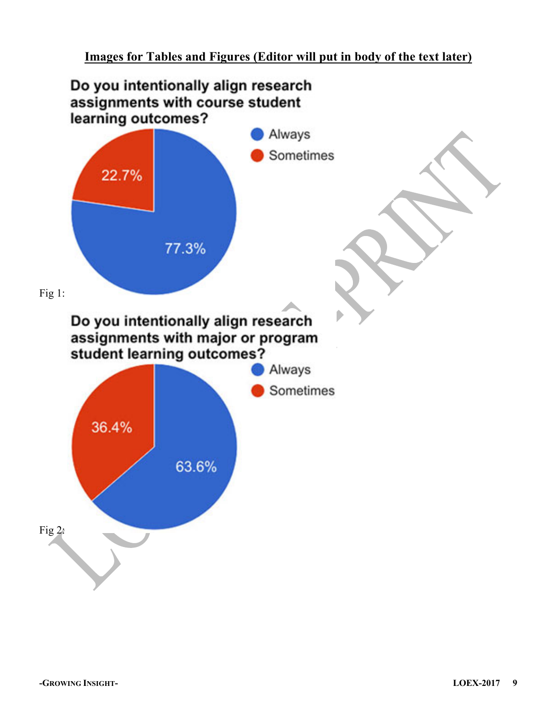## **Images for Tables and Figures (Editor will put in body of the text later)**

## Do you intentionally align research assignments with course student learning outcomes?

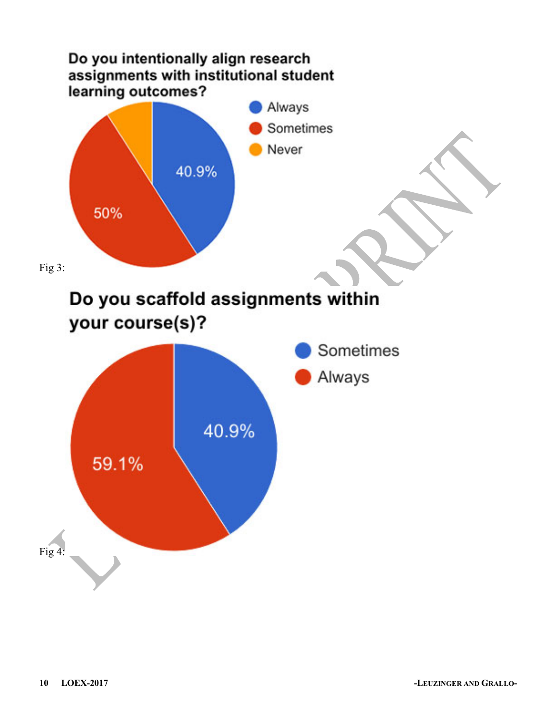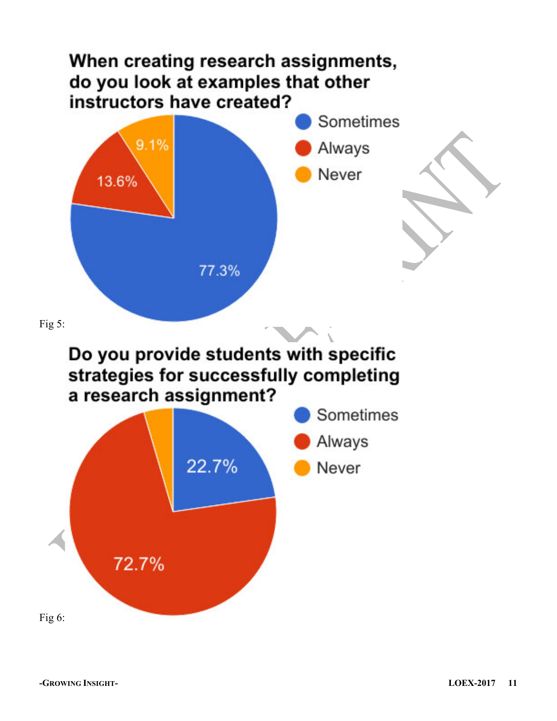# When creating research assignments, do you look at examples that other instructors have created?





# Do you provide students with specific strategies for successfully completing a research assignment?